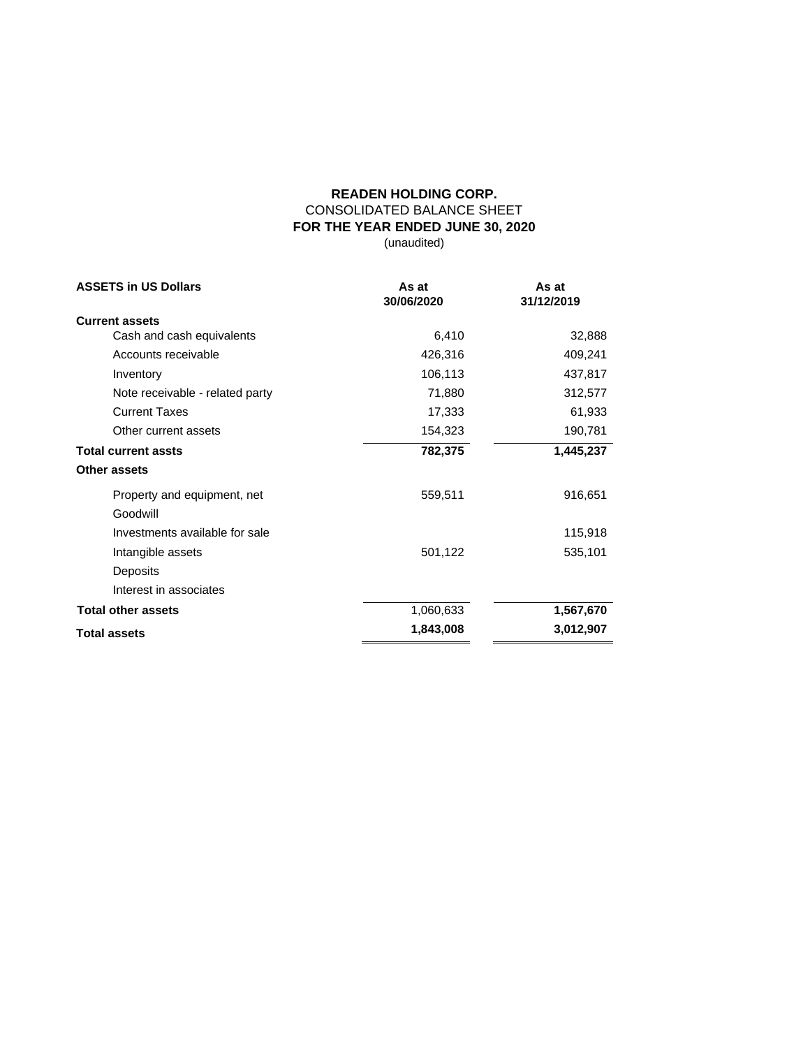## **READEN HOLDING CORP.** CONSOLIDATED BALANCE SHEET **FOR THE YEAR ENDED JUNE 30, 2020** (unaudited)

| <b>ASSETS in US Dollars</b>     | As at<br>30/06/2020 | As at<br>31/12/2019 |
|---------------------------------|---------------------|---------------------|
| <b>Current assets</b>           |                     |                     |
| Cash and cash equivalents       | 6,410               | 32,888              |
| Accounts receivable             | 426,316             | 409,241             |
| Inventory                       | 106,113             | 437,817             |
| Note receivable - related party | 71,880              | 312,577             |
| <b>Current Taxes</b>            | 17,333              | 61,933              |
| Other current assets            | 154,323             | 190,781             |
| <b>Total current assts</b>      | 782,375             | 1,445,237           |
| Other assets                    |                     |                     |
| Property and equipment, net     | 559,511             | 916,651             |
| Goodwill                        |                     |                     |
| Investments available for sale  |                     | 115,918             |
| Intangible assets               | 501,122             | 535,101             |
| Deposits                        |                     |                     |
| Interest in associates          |                     |                     |
| <b>Total other assets</b>       | 1,060,633           |                     |
| <b>Total assets</b>             | 1,843,008           | 3,012,907           |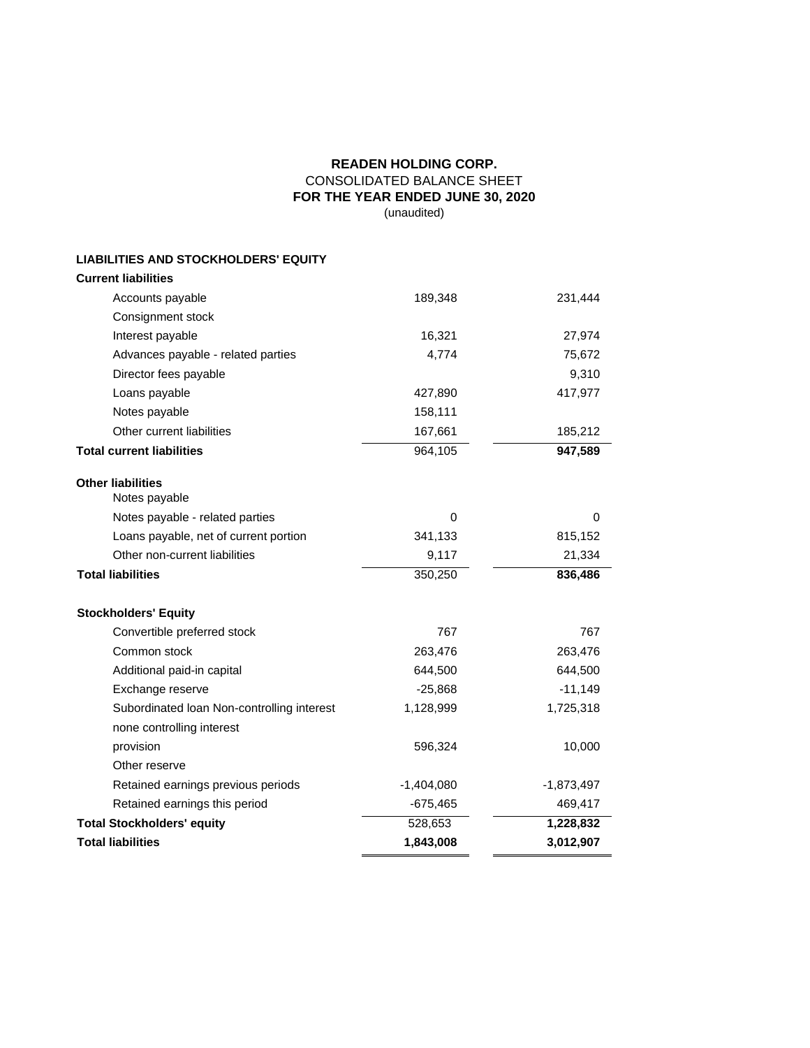## **READEN HOLDING CORP.** CONSOLIDATED BALANCE SHEET **FOR THE YEAR ENDED JUNE 30, 2020** (unaudited)

# **LIABILITIES AND STOCKHOLDERS' EQUITY**

| <b>Current liabilities</b>                 |              |              |  |  |
|--------------------------------------------|--------------|--------------|--|--|
| Accounts payable                           | 189,348      | 231,444      |  |  |
| Consignment stock                          |              |              |  |  |
| Interest payable                           | 16,321       | 27,974       |  |  |
| Advances payable - related parties         | 4,774        | 75,672       |  |  |
| Director fees payable                      |              | 9,310        |  |  |
| Loans payable                              | 427,890      | 417,977      |  |  |
| Notes payable                              | 158,111      |              |  |  |
| Other current liabilities                  | 167,661      | 185,212      |  |  |
| <b>Total current liabilities</b>           | 964,105      | 947,589      |  |  |
| <b>Other liabilities</b><br>Notes payable  |              |              |  |  |
| Notes payable - related parties            | $\mathbf 0$  | 0            |  |  |
| Loans payable, net of current portion      | 341,133      | 815,152      |  |  |
| Other non-current liabilities              | 9,117        | 21,334       |  |  |
| <b>Total liabilities</b>                   | 350,250      | 836,486      |  |  |
| <b>Stockholders' Equity</b>                |              |              |  |  |
| Convertible preferred stock                | 767          | 767          |  |  |
| Common stock                               | 263,476      | 263,476      |  |  |
| Additional paid-in capital                 | 644,500      | 644,500      |  |  |
| Exchange reserve                           | $-25,868$    | $-11,149$    |  |  |
| Subordinated Ioan Non-controlling interest | 1,128,999    | 1,725,318    |  |  |
| none controlling interest                  |              |              |  |  |
| provision                                  | 596,324      | 10,000       |  |  |
| Other reserve                              |              |              |  |  |
| Retained earnings previous periods         | $-1,404,080$ | $-1,873,497$ |  |  |
| Retained earnings this period              | $-675,465$   | 469,417      |  |  |
| <b>Total Stockholders' equity</b>          | 528,653      | 1,228,832    |  |  |
| <b>Total liabilities</b>                   | 1,843,008    | 3,012,907    |  |  |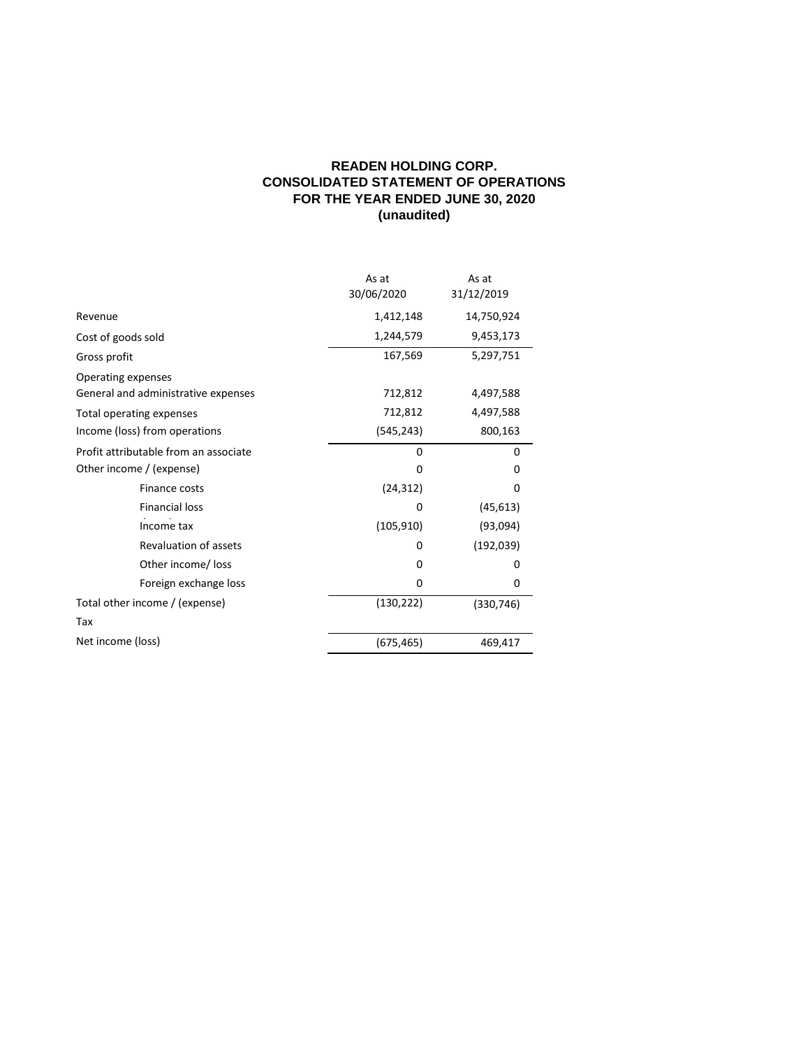## **READEN HOLDING CORP. CONSOLIDATED STATEMENT OF OPERATIONS FOR THE YEAR ENDED JUNE 30, 2020 (unaudited)**

|                                                           | As at<br>30/06/2020 | As at<br>31/12/2019 |
|-----------------------------------------------------------|---------------------|---------------------|
| Revenue                                                   | 1,412,148           | 14,750,924          |
| Cost of goods sold                                        | 1,244,579           | 9,453,173           |
| Gross profit                                              | 167,569             | 5,297,751           |
| Operating expenses<br>General and administrative expenses | 712,812             | 4,497,588           |
| Total operating expenses                                  | 712,812             | 4,497,588           |
| Income (loss) from operations                             | (545, 243)          | 800,163             |
| Profit attributable from an associate                     | $\Omega$            | 0                   |
| Other income / (expense)                                  | 0                   | 0                   |
| Finance costs                                             | (24, 312)           | 0                   |
| <b>Financial loss</b>                                     | 0                   | (45, 613)           |
| Income tax                                                | (105, 910)          | (93,094)            |
| <b>Revaluation of assets</b>                              | 0                   | (192, 039)          |
| Other income/ loss                                        | $\Omega$            | 0                   |
| Foreign exchange loss                                     | 0                   | 0                   |
| Total other income / (expense)                            | (130, 222)          | (330, 746)          |
| Tax                                                       |                     |                     |
| Net income (loss)                                         | (675, 465)          | 469,417             |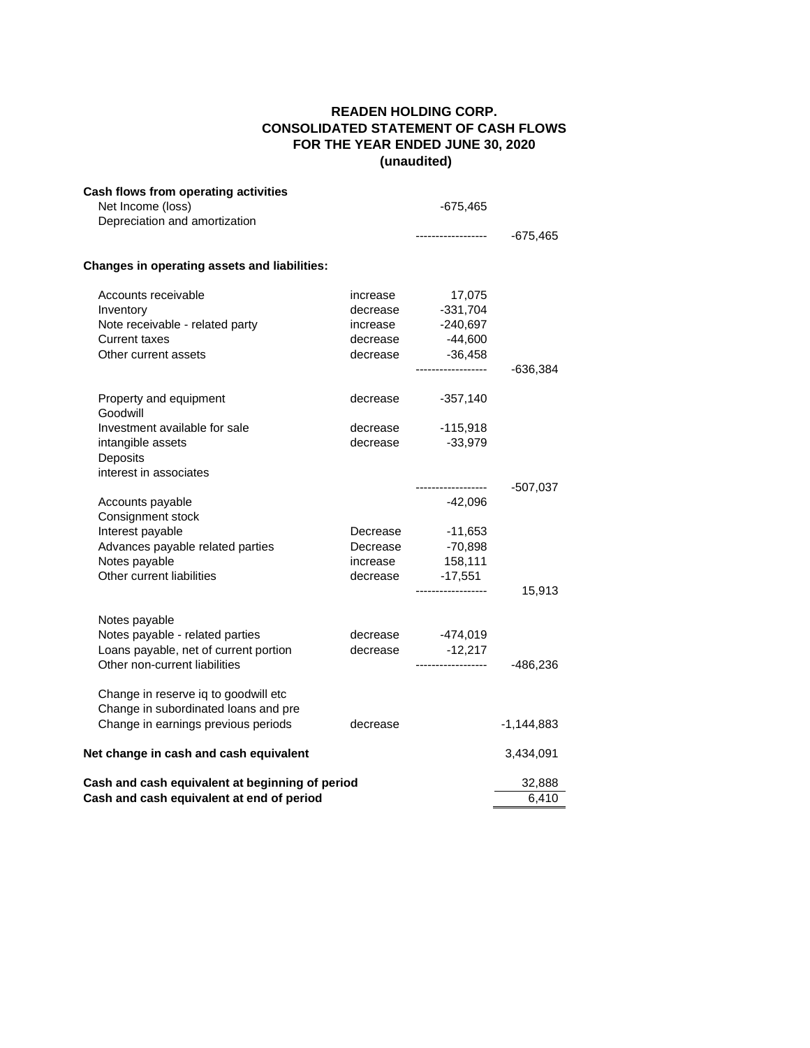## **READEN HOLDING CORP. CONSOLIDATED STATEMENT OF CASH FLOWS FOR THE YEAR ENDED JUNE 30, 2020 (unaudited)**

| Cash flows from operating activities<br>Net Income (loss)<br>Depreciation and amortization |          | $-675,465$         |            |
|--------------------------------------------------------------------------------------------|----------|--------------------|------------|
|                                                                                            |          | ------------------ | $-675,465$ |
| Changes in operating assets and liabilities:                                               |          |                    |            |
| Accounts receivable                                                                        | increase | 17,075             |            |
| Inventory                                                                                  | decrease | $-331,704$         |            |
| Note receivable - related party                                                            | increase | -240,697           |            |
| <b>Current taxes</b>                                                                       | decrease | $-44,600$          |            |
| Other current assets                                                                       |          | decrease -36,458   |            |
|                                                                                            |          | ------------------ | $-636,384$ |
| Property and equipment<br>Goodwill                                                         | decrease | -357,140           |            |
| Investment available for sale                                                              | decrease | $-115,918$         |            |
| intangible assets                                                                          | decrease | -33,979            |            |
| Deposits                                                                                   |          |                    |            |
| interest in associates                                                                     |          |                    |            |
|                                                                                            |          | ------------------ | $-507,037$ |
| Accounts payable                                                                           |          | -42,096            |            |
| Consignment stock                                                                          |          |                    |            |
| Interest payable                                                                           | Decrease | $-11,653$          |            |
| Advances payable related parties                                                           | Decrease | $-70,898$          |            |
| Notes payable                                                                              | increase | 158,111            |            |
| Other current liabilities                                                                  | decrease | $-17,551$          |            |
|                                                                                            |          | ------------------ | 15,913     |
| Notes payable                                                                              |          |                    |            |
| Notes payable - related parties                                                            | decrease | $-474,019$         |            |
| Loans payable, net of current portion                                                      | decrease | $-12,217$          |            |
| Other non-current liabilities                                                              |          | ------------------ | -486,236   |
| Change in reserve iq to goodwill etc                                                       |          |                    |            |
| Change in subordinated loans and pre                                                       |          |                    |            |
| Change in earnings previous periods                                                        | decrease |                    | -1,144,883 |
| Net change in cash and cash equivalent                                                     |          |                    | 3,434,091  |
| Cash and cash equivalent at beginning of period                                            |          |                    | 32,888     |
| Cash and cash equivalent at end of period                                                  |          |                    | 6,410      |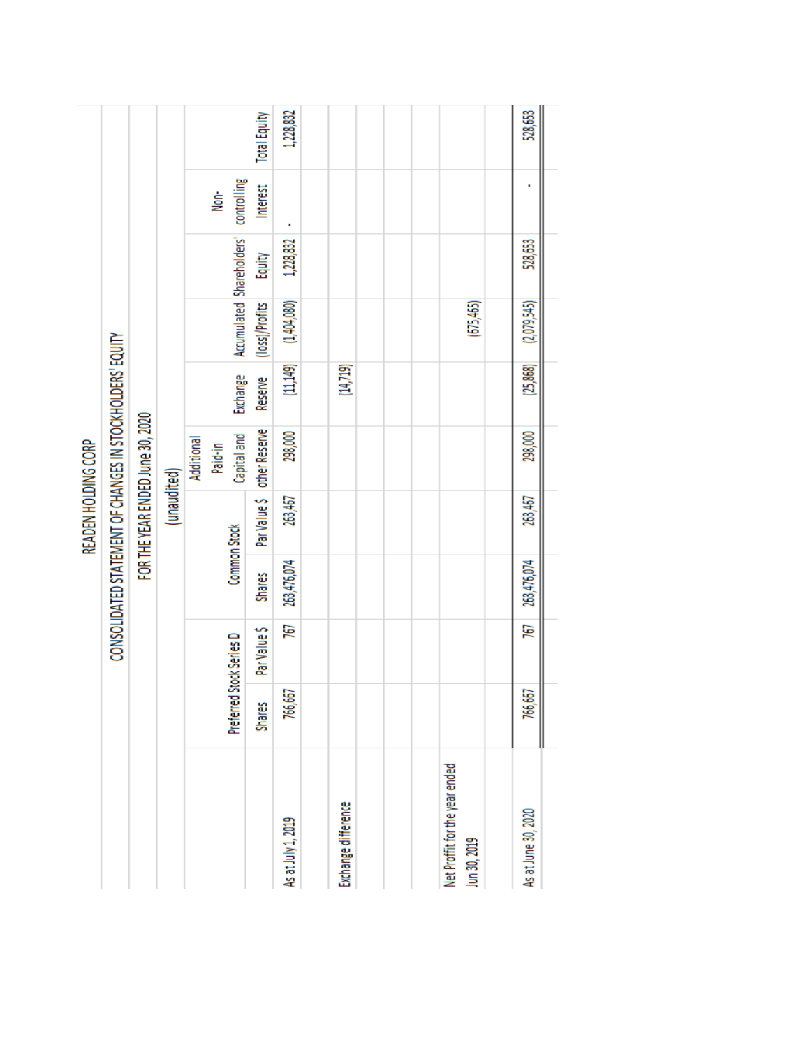|                     |  | <b>Total Equity</b><br>controlling<br>Interest<br>.<br>Se                                                                             | 1,228,832   |                          |               |             |         | 528,653   |                    |                     |             |  |                                                |                     |        |           |                                                            |  |  |  |         |
|---------------------|--|---------------------------------------------------------------------------------------------------------------------------------------|-------------|--------------------------|---------------|-------------|---------|-----------|--------------------|---------------------|-------------|--|------------------------------------------------|---------------------|--------|-----------|------------------------------------------------------------|--|--|--|---------|
|                     |  |                                                                                                                                       |             |                          |               |             |         |           |                    |                     |             |  |                                                |                     |        |           |                                                            |  |  |  |         |
|                     |  |                                                                                                                                       |             |                          |               |             |         |           |                    |                     |             |  |                                                |                     | Equity | 1,228,832 |                                                            |  |  |  | 528,653 |
|                     |  |                                                                                                                                       |             |                          |               |             |         |           |                    |                     |             |  |                                                |                     |        |           | Accumulated Shareholders'<br>(1,404,080)<br>(loss)/Profits |  |  |  |         |
|                     |  | CONSOLIDATED STATEMENT OF CHANGES IN STOCKHOLDERS' EQUITY<br>FOR THE YEAR ENDED June 30, 2020<br>Additional<br>Paid-in<br>(unaudited) |             |                          |               | Exchange    | Reserve | (11, 149) | (14, 719)          |                     |             |  | (25,868)                                       |                     |        |           |                                                            |  |  |  |         |
|                     |  |                                                                                                                                       | Capital and | other Reserve            | 298,000       |             |         |           |                    | 298,000             |             |  |                                                |                     |        |           |                                                            |  |  |  |         |
| READEN HOLDING CORP |  |                                                                                                                                       |             | Par Value \$             | 263,467       |             |         |           |                    | 263,467             |             |  |                                                |                     |        |           |                                                            |  |  |  |         |
|                     |  |                                                                                                                                       |             | Common Stock             | <b>Shares</b> | 263,476,074 |         |           |                    |                     | 263,476,074 |  |                                                |                     |        |           |                                                            |  |  |  |         |
|                     |  |                                                                                                                                       |             |                          | Par Value \$  | 767         |         |           |                    |                     | 767         |  |                                                |                     |        |           |                                                            |  |  |  |         |
|                     |  |                                                                                                                                       |             | Preferred Stock Series D | <b>Shares</b> | 766,667     |         |           |                    |                     | 766,667     |  |                                                |                     |        |           |                                                            |  |  |  |         |
|                     |  |                                                                                                                                       |             |                          |               |             |         |           | As at July 1, 2019 | Exchange difference |             |  | Net Proffit for the year ended<br>Jun 30, 2019 | As at June 30, 2020 |        |           |                                                            |  |  |  |         |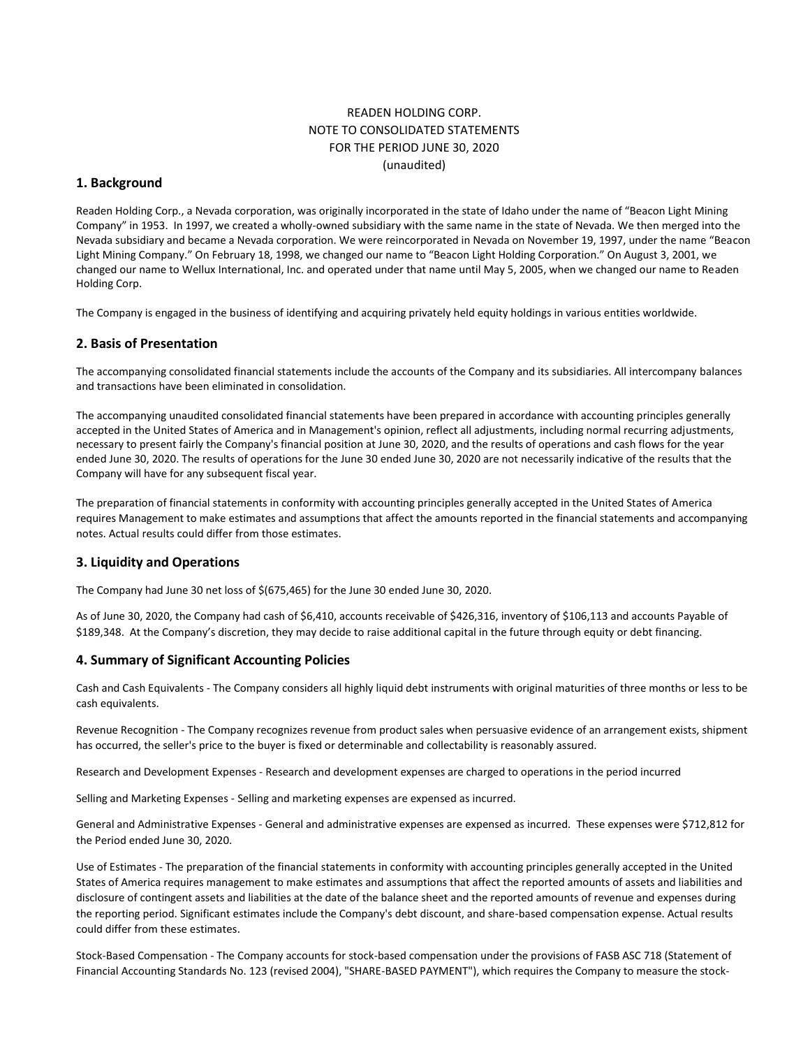## READEN HOLDING CORP. NOTE TO CONSOLIDATED STATEMENTS FOR THE PERIOD JUNE 30, 2020 (unaudited)

### **1. Background**

Readen Holding Corp., a Nevada corporation, was originally incorporated in the state of Idaho under the name of "Beacon Light Mining Company" in 1953. In 1997, we created a wholly-owned subsidiary with the same name in the state of Nevada. We then merged into the Nevada subsidiary and became a Nevada corporation. We were reincorporated in Nevada on November 19, 1997, under the name "Beacon Light Mining Company." On February 18, 1998, we changed our name to "Beacon Light Holding Corporation." On August 3, 2001, we changed our name to Wellux International, Inc. and operated under that name until May 5, 2005, when we changed our name to Readen Holding Corp.

The Company is engaged in the business of identifying and acquiring privately held equity holdings in various entities worldwide.

### **2. Basis of Presentation**

The accompanying consolidated financial statements include the accounts of the Company and its subsidiaries. All intercompany balances and transactions have been eliminated in consolidation.

The accompanying unaudited consolidated financial statements have been prepared in accordance with accounting principles generally accepted in the United States of America and in Management's opinion, reflect all adjustments, including normal recurring adjustments, necessary to present fairly the Company's financial position at June 30, 2020, and the results of operations and cash flows for the year ended June 30, 2020. The results of operations for the June 30 ended June 30, 2020 are not necessarily indicative of the results that the Company will have for any subsequent fiscal year.

The preparation of financial statements in conformity with accounting principles generally accepted in the United States of America requires Management to make estimates and assumptions that affect the amounts reported in the financial statements and accompanying notes. Actual results could differ from those estimates.

#### **3. Liquidity and Operations**

The Company had June 30 net loss of \$(675,465) for the June 30 ended June 30, 2020.

As of June 30, 2020, the Company had cash of \$6,410, accounts receivable of \$426,316, inventory of \$106,113 and accounts Payable of \$189,348. At the Company's discretion, they may decide to raise additional capital in the future through equity or debt financing.

#### **4. Summary of Significant Accounting Policies**

Cash and Cash Equivalents - The Company considers all highly liquid debt instruments with original maturities of three months or less to be cash equivalents.

Revenue Recognition - The Company recognizes revenue from product sales when persuasive evidence of an arrangement exists, shipment has occurred, the seller's price to the buyer is fixed or determinable and collectability is reasonably assured.

Research and Development Expenses - Research and development expenses are charged to operations in the period incurred

Selling and Marketing Expenses - Selling and marketing expenses are expensed as incurred.

General and Administrative Expenses - General and administrative expenses are expensed as incurred. These expenses were \$712,812 for the Period ended June 30, 2020.

Use of Estimates - The preparation of the financial statements in conformity with accounting principles generally accepted in the United States of America requires management to make estimates and assumptions that affect the reported amounts of assets and liabilities and disclosure of contingent assets and liabilities at the date of the balance sheet and the reported amounts of revenue and expenses during the reporting period. Significant estimates include the Company's debt discount, and share-based compensation expense. Actual results could differ from these estimates.

Stock-Based Compensation - The Company accounts for stock-based compensation under the provisions of FASB ASC 718 (Statement of Financial Accounting Standards No. 123 (revised 2004), "SHARE-BASED PAYMENT"), which requires the Company to measure the stock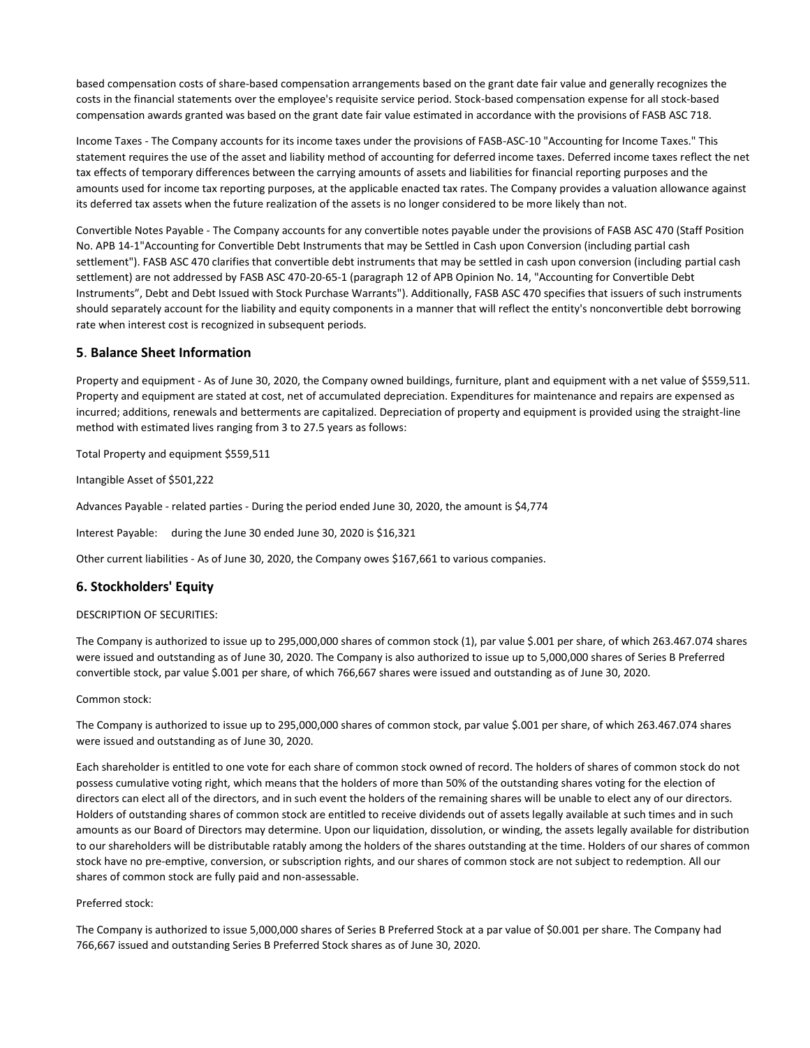based compensation costs of share-based compensation arrangements based on the grant date fair value and generally recognizes the costs in the financial statements over the employee's requisite service period. Stock-based compensation expense for all stock-based compensation awards granted was based on the grant date fair value estimated in accordance with the provisions of FASB ASC 718.

Income Taxes - The Company accounts for its income taxes under the provisions of FASB-ASC-10 "Accounting for Income Taxes." This statement requires the use of the asset and liability method of accounting for deferred income taxes. Deferred income taxes reflect the net tax effects of temporary differences between the carrying amounts of assets and liabilities for financial reporting purposes and the amounts used for income tax reporting purposes, at the applicable enacted tax rates. The Company provides a valuation allowance against its deferred tax assets when the future realization of the assets is no longer considered to be more likely than not.

Convertible Notes Payable - The Company accounts for any convertible notes payable under the provisions of FASB ASC 470 (Staff Position No. APB 14-1"Accounting for Convertible Debt Instruments that may be Settled in Cash upon Conversion (including partial cash settlement"). FASB ASC 470 clarifies that convertible debt instruments that may be settled in cash upon conversion (including partial cash settlement) are not addressed by FASB ASC 470-20-65-1 (paragraph 12 of APB Opinion No. 14, "Accounting for Convertible Debt Instruments", Debt and Debt Issued with Stock Purchase Warrants"). Additionally, FASB ASC 470 specifies that issuers of such instruments should separately account for the liability and equity components in a manner that will reflect the entity's nonconvertible debt borrowing rate when interest cost is recognized in subsequent periods.

## **5**. **Balance Sheet Information**

Property and equipment - As of June 30, 2020, the Company owned buildings, furniture, plant and equipment with a net value of \$559,511. Property and equipment are stated at cost, net of accumulated depreciation. Expenditures for maintenance and repairs are expensed as incurred; additions, renewals and betterments are capitalized. Depreciation of property and equipment is provided using the straight-line method with estimated lives ranging from 3 to 27.5 years as follows:

Total Property and equipment \$559,511

Intangible Asset of \$501,222

Advances Payable - related parties - During the period ended June 30, 2020, the amount is \$4,774

Interest Payable: during the June 30 ended June 30, 2020 is \$16,321

Other current liabilities - As of June 30, 2020, the Company owes \$167,661 to various companies.

### **6. Stockholders' Equity**

#### DESCRIPTION OF SECURITIES:

The Company is authorized to issue up to 295,000,000 shares of common stock (1), par value \$.001 per share, of which 263.467.074 shares were issued and outstanding as of June 30, 2020. The Company is also authorized to issue up to 5,000,000 shares of Series B Preferred convertible stock, par value \$.001 per share, of which 766,667 shares were issued and outstanding as of June 30, 2020.

#### Common stock:

The Company is authorized to issue up to 295,000,000 shares of common stock, par value \$.001 per share, of which 263.467.074 shares were issued and outstanding as of June 30, 2020.

Each shareholder is entitled to one vote for each share of common stock owned of record. The holders of shares of common stock do not possess cumulative voting right, which means that the holders of more than 50% of the outstanding shares voting for the election of directors can elect all of the directors, and in such event the holders of the remaining shares will be unable to elect any of our directors. Holders of outstanding shares of common stock are entitled to receive dividends out of assets legally available at such times and in such amounts as our Board of Directors may determine. Upon our liquidation, dissolution, or winding, the assets legally available for distribution to our shareholders will be distributable ratably among the holders of the shares outstanding at the time. Holders of our shares of common stock have no pre-emptive, conversion, or subscription rights, and our shares of common stock are not subject to redemption. All our shares of common stock are fully paid and non-assessable.

#### Preferred stock:

The Company is authorized to issue 5,000,000 shares of Series B Preferred Stock at a par value of \$0.001 per share. The Company had 766,667 issued and outstanding Series B Preferred Stock shares as of June 30, 2020.